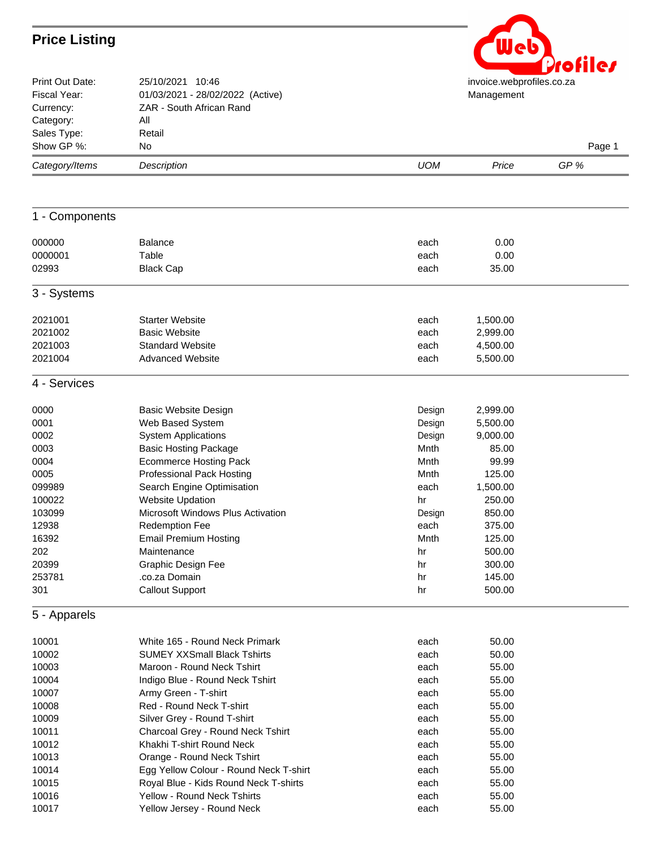

| Print Out Date:<br>Fiscal Year: | 25/10/2021 10:46<br>01/03/2021 - 28/02/2022 (Active)                 |              | --<br>invoice.webprofiles.co.za<br>Management |        |  |
|---------------------------------|----------------------------------------------------------------------|--------------|-----------------------------------------------|--------|--|
| Currency:                       | ZAR - South African Rand                                             |              |                                               |        |  |
| Category:                       | All                                                                  |              |                                               |        |  |
| Sales Type:                     | Retail                                                               |              |                                               |        |  |
| Show GP %:                      | No                                                                   |              |                                               | Page 1 |  |
| Category/Items                  | Description                                                          | <b>UOM</b>   | Price                                         | GP%    |  |
|                                 |                                                                      |              |                                               |        |  |
| 1 - Components                  |                                                                      |              |                                               |        |  |
| 000000                          | <b>Balance</b>                                                       | each         | 0.00                                          |        |  |
| 0000001                         | Table                                                                | each         | 0.00                                          |        |  |
| 02993                           | <b>Black Cap</b>                                                     | each         | 35.00                                         |        |  |
| 3 - Systems                     |                                                                      |              |                                               |        |  |
| 2021001                         | <b>Starter Website</b>                                               | each         | 1,500.00                                      |        |  |
| 2021002                         | <b>Basic Website</b>                                                 | each         | 2,999.00                                      |        |  |
| 2021003                         | <b>Standard Website</b>                                              | each         | 4,500.00                                      |        |  |
| 2021004                         | <b>Advanced Website</b>                                              | each         | 5,500.00                                      |        |  |
| 4 - Services                    |                                                                      |              |                                               |        |  |
| 0000                            | Basic Website Design                                                 | Design       | 2,999.00                                      |        |  |
| 0001                            | Web Based System                                                     | Design       | 5,500.00                                      |        |  |
| 0002                            | <b>System Applications</b>                                           | Design       | 9,000.00                                      |        |  |
| 0003                            | <b>Basic Hosting Package</b>                                         | Mnth         | 85.00                                         |        |  |
| 0004                            | <b>Ecommerce Hosting Pack</b>                                        | Mnth         | 99.99                                         |        |  |
| 0005                            | <b>Professional Pack Hosting</b>                                     | Mnth         | 125.00                                        |        |  |
| 099989                          | Search Engine Optimisation                                           | each         | 1,500.00                                      |        |  |
| 100022                          | <b>Website Updation</b>                                              | hr           | 250.00                                        |        |  |
| 103099                          | Microsoft Windows Plus Activation                                    | Design       | 850.00                                        |        |  |
| 12938                           | Redemption Fee                                                       | each         | 375.00                                        |        |  |
| 16392                           | <b>Email Premium Hosting</b>                                         | Mnth         | 125.00                                        |        |  |
| 202                             | Maintenance                                                          | hr           | 500.00                                        |        |  |
| 20399                           | Graphic Design Fee                                                   | hr           | 300.00                                        |        |  |
| 253781<br>301                   | .co.za Domain<br><b>Callout Support</b>                              | hr<br>hr     | 145.00<br>500.00                              |        |  |
| 5 - Apparels                    |                                                                      |              |                                               |        |  |
|                                 |                                                                      |              |                                               |        |  |
| 10001<br>10002                  | White 165 - Round Neck Primark<br><b>SUMEY XXSmall Black Tshirts</b> | each<br>each | 50.00<br>50.00                                |        |  |
| 10003                           | Maroon - Round Neck Tshirt                                           | each         | 55.00                                         |        |  |
| 10004                           | Indigo Blue - Round Neck Tshirt                                      | each         | 55.00                                         |        |  |
| 10007                           | Army Green - T-shirt                                                 | each         | 55.00                                         |        |  |
| 10008                           | Red - Round Neck T-shirt                                             | each         | 55.00                                         |        |  |
| 10009                           | Silver Grey - Round T-shirt                                          | each         | 55.00                                         |        |  |
| 10011                           | Charcoal Grey - Round Neck Tshirt                                    | each         | 55.00                                         |        |  |
| 10012                           | Khakhi T-shirt Round Neck                                            | each         | 55.00                                         |        |  |
| 10013                           | Orange - Round Neck Tshirt                                           | each         | 55.00                                         |        |  |
| 10014                           | Egg Yellow Colour - Round Neck T-shirt                               | each         | 55.00                                         |        |  |
|                                 |                                                                      |              |                                               |        |  |

 Royal Blue - Kids Round Neck T-shirts each 55.00 10016 Tellow - Round Neck Tshirts **10016** each 55.00 10017 Tellow Jersey - Round Neck each 55.00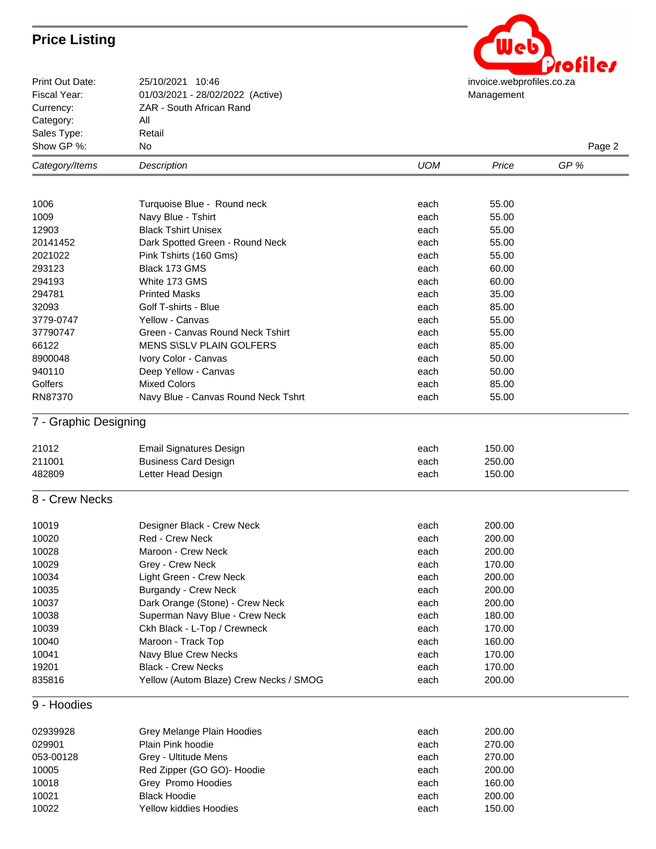

| Fiscal Year:<br>Currency: | 01/03/2021 - 28/02/2022 (Active)<br>ZAR - South African Rand | Management |       |        |  |
|---------------------------|--------------------------------------------------------------|------------|-------|--------|--|
| Category:                 | All                                                          |            |       |        |  |
| Sales Type:               | Retail                                                       |            |       |        |  |
| Show GP %:                | No.                                                          |            |       | Page 2 |  |
| Category/Items            | Description                                                  | <b>UOM</b> | Price | $GP$ % |  |

| 1006                  | Turquoise Blue - Round neck         | each | 55.00  |  |
|-----------------------|-------------------------------------|------|--------|--|
| 1009                  | Navy Blue - Tshirt                  | each | 55.00  |  |
| 12903                 | <b>Black Tshirt Unisex</b>          | each | 55.00  |  |
| 20141452              | Dark Spotted Green - Round Neck     | each | 55.00  |  |
| 2021022               | Pink Tshirts (160 Gms)              | each | 55.00  |  |
| 293123                | Black 173 GMS                       | each | 60.00  |  |
| 294193                | White 173 GMS                       | each | 60.00  |  |
| 294781                | <b>Printed Masks</b>                | each | 35.00  |  |
| 32093                 | Golf T-shirts - Blue                | each | 85.00  |  |
| 3779-0747             | Yellow - Canvas                     | each | 55.00  |  |
| 37790747              | Green - Canvas Round Neck Tshirt    | each | 55.00  |  |
| 66122                 | <b>MENS SISLV PLAIN GOLFERS</b>     | each | 85.00  |  |
| 8900048               | Ivory Color - Canvas                | each | 50.00  |  |
| 940110                | Deep Yellow - Canvas                | each | 50.00  |  |
| Golfers               | <b>Mixed Colors</b>                 | each | 85.00  |  |
| RN87370               | Navy Blue - Canvas Round Neck Tshrt | each | 55.00  |  |
| 7 - Graphic Designing |                                     |      |        |  |
| 21012                 | <b>Email Signatures Design</b>      | each | 150.00 |  |
| 211001                | <b>Business Card Design</b>         | each | 250.00 |  |
| 482809                | Letter Head Design                  | each | 150.00 |  |
| 8 - Crew Necks        |                                     |      |        |  |
| 10019                 | Designer Black - Crew Neck          | each | 200.00 |  |
| 10020                 | <b>Red - Crew Neck</b>              | each | 200.00 |  |
| 10028                 | Maroon - Crew Neck                  | each | 200.00 |  |
| 10029                 | Grey - Crew Neck                    | each | 170.00 |  |
| 10034                 | Light Green - Crew Neck             | each | 200.00 |  |
| 10035                 | <b>Burgandy - Crew Neck</b>         | each | 200.00 |  |
| 10037                 | Dark Orange (Stone) - Crew Neck     | each | 200.00 |  |
| 10038                 | Superman Navy Blue - Crew Neck      | each | 180.00 |  |
| 10039                 | Ckh Black - L-Top / Crewneck        | each | 170.00 |  |
| 10010                 | Maroon Track Ton                    | ooch | 160.00 |  |

| 10038  | Superman Navy Blue - Crew Neck         | each | 180.00 |
|--------|----------------------------------------|------|--------|
| 10039  | Ckh Black - L-Top / Crewneck           | each | 170.00 |
| 10040  | Maroon - Track Top                     | each | 160.00 |
| 10041  | Navy Blue Crew Necks                   | each | 170.00 |
| 19201  | <b>Black - Crew Necks</b>              | each | 170.00 |
| 835816 | Yellow (Autom Blaze) Crew Necks / SMOG | each | 200.00 |
|        |                                        |      |        |

#### 9 - Hoodies

| 02939928  | Grey Melange Plain Hoodies | each | 200.00 |
|-----------|----------------------------|------|--------|
| 029901    | Plain Pink hoodie          | each | 270.00 |
| 053-00128 | Grey - Ultitude Mens       | each | 270.00 |
| 10005     | Red Zipper (GO GO)- Hoodie | each | 200.00 |
| 10018     | Grey Promo Hoodies         | each | 160.00 |
| 10021     | <b>Black Hoodie</b>        | each | 200.00 |
| 10022     | Yellow kiddies Hoodies     | each | 150.00 |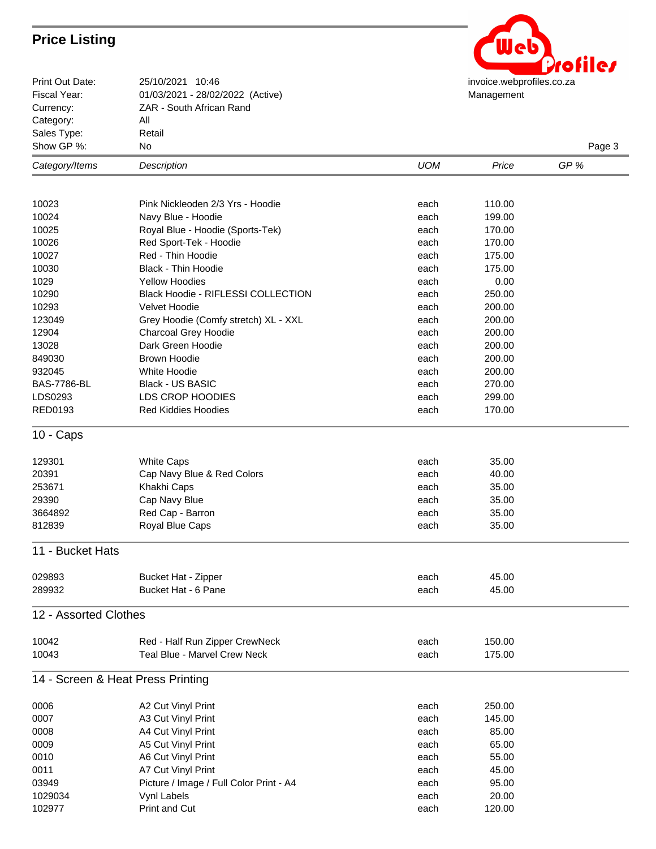

| Print Out Date:<br>Fiscal Year: | 25/10/2021 10:46<br>01/03/2021 - 28/02/2022 (Active) | invoice.webprofiles.co.za<br>Management |        |        |
|---------------------------------|------------------------------------------------------|-----------------------------------------|--------|--------|
| Currency:                       | ZAR - South African Rand                             |                                         |        |        |
| Category:                       | All                                                  |                                         |        |        |
| Sales Type:                     | Retail                                               |                                         |        |        |
| Show GP %:                      | No                                                   |                                         |        | Page 3 |
| Category/Items                  | Description                                          | <b>UOM</b>                              | Price  | $GP$ % |
|                                 |                                                      |                                         |        |        |
| 10023                           | Pink Nickleoden 2/3 Yrs - Hoodie                     | each                                    | 110.00 |        |
| 10024                           | Navy Blue - Hoodie                                   | each                                    | 199.00 |        |
| 10025                           | Royal Blue - Hoodie (Sports-Tek)                     | each                                    | 170.00 |        |
| 10026                           | Red Sport-Tek - Hoodie                               | each                                    | 170.00 |        |
| 10027                           | Red - Thin Hoodie                                    | each                                    | 175.00 |        |
| 10030                           | <b>Black - Thin Hoodie</b>                           | each                                    | 175.00 |        |
| 1029                            | <b>Yellow Hoodies</b>                                | each                                    | 0.00   |        |
| 10290                           | Black Hoodie - RIFLESSI COLLECTION                   | each                                    | 250.00 |        |
| 10293                           | Velvet Hoodie                                        | each                                    | 200.00 |        |
| 123049                          | Grey Hoodie (Comfy stretch) XL - XXL                 | each                                    | 200.00 |        |
| 12904                           | Charcoal Grey Hoodie                                 | each                                    | 200.00 |        |
| 13028                           | Dark Green Hoodie                                    | each                                    | 200.00 |        |
| 849030                          | <b>Brown Hoodie</b>                                  | each                                    | 200.00 |        |
| 932045                          | White Hoodie                                         | each                                    | 200.00 |        |
| <b>BAS-7786-BL</b>              | <b>Black - US BASIC</b>                              | each                                    | 270.00 |        |
| LDS0293                         | LDS CROP HOODIES                                     | each                                    | 299.00 |        |
| <b>RED0193</b>                  | <b>Red Kiddies Hoodies</b>                           | each                                    | 170.00 |        |
| $10 - \text{Caps}$              |                                                      |                                         |        |        |
| 129301                          | <b>White Caps</b>                                    | each                                    | 35.00  |        |
| 20391                           | Cap Navy Blue & Red Colors                           | each                                    | 40.00  |        |
| 253671                          | Khakhi Caps                                          | each                                    | 35.00  |        |
| 29390                           | Cap Navy Blue                                        | each                                    | 35.00  |        |
| 3664892                         | Red Cap - Barron                                     | each                                    | 35.00  |        |
| 812839                          | Royal Blue Caps                                      | each                                    | 35.00  |        |
| 11 - Bucket Hats                |                                                      |                                         |        |        |
| 029893                          | Bucket Hat - Zipper                                  | each                                    | 45.00  |        |
| 289932                          | Bucket Hat - 6 Pane                                  | each                                    | 45.00  |        |
| 12 - Assorted Clothes           |                                                      |                                         |        |        |
| 10042                           | Red - Half Run Zipper CrewNeck                       | each                                    | 150.00 |        |
| 10043                           | Teal Blue - Marvel Crew Neck                         | each                                    | 175.00 |        |
|                                 | 14 - Screen & Heat Press Printing                    |                                         |        |        |
| 0006                            | A2 Cut Vinyl Print                                   | each                                    | 250.00 |        |
| 0007                            | A3 Cut Vinyl Print                                   | each                                    | 145.00 |        |
| 0008                            | A4 Cut Vinyl Print                                   | each                                    | 85.00  |        |
| 0009                            | A5 Cut Vinyl Print                                   | each                                    | 65.00  |        |
| 0010                            | A6 Cut Vinyl Print                                   | each                                    | 55.00  |        |
| 0011                            | A7 Cut Vinyl Print                                   | each                                    | 45.00  |        |
| 03949                           | Picture / Image / Full Color Print - A4              | each                                    | 95.00  |        |
| 1029034                         | Vynl Labels                                          | each                                    | 20.00  |        |
| 102977                          | Print and Cut                                        | each                                    | 120.00 |        |